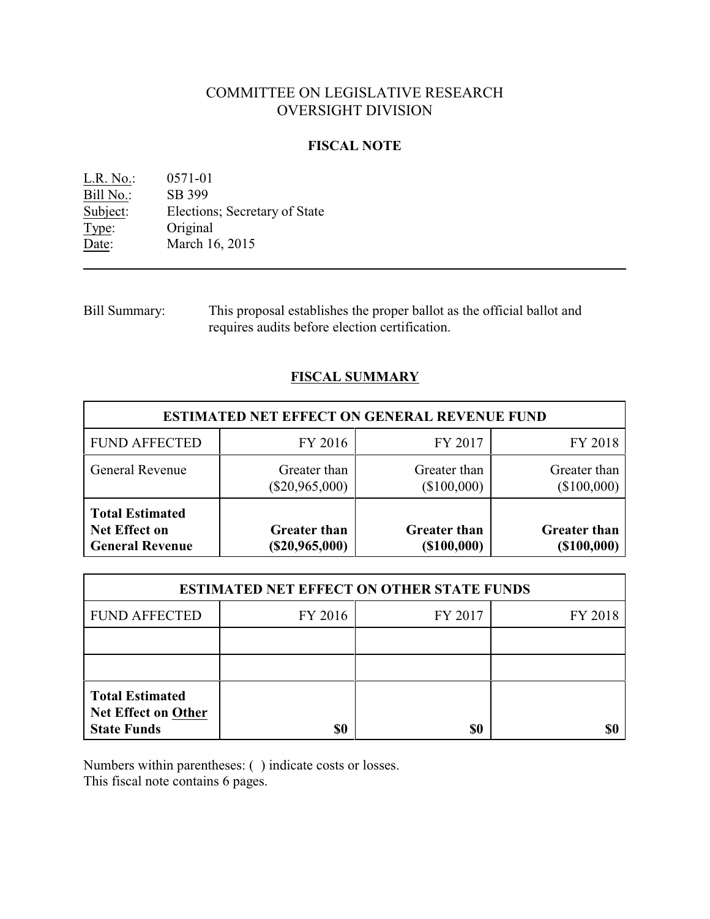# COMMITTEE ON LEGISLATIVE RESEARCH OVERSIGHT DIVISION

### **FISCAL NOTE**

L.R. No.: 0571-01 Bill No.: SB 399<br>Subject: Election Elections; Secretary of State Type: Original Date: March 16, 2015

Bill Summary: This proposal establishes the proper ballot as the official ballot and requires audits before election certification.

## **FISCAL SUMMARY**

| <b>ESTIMATED NET EFFECT ON GENERAL REVENUE FUND</b>                      |                                       |                                       |                                          |  |
|--------------------------------------------------------------------------|---------------------------------------|---------------------------------------|------------------------------------------|--|
| <b>FUND AFFECTED</b>                                                     | FY 2016                               | FY 2017                               | FY 2018                                  |  |
| <b>General Revenue</b>                                                   | Greater than<br>$(\$20,965,000)$      | Greater than<br>(\$100,000)           | Greater than<br>$(\$100,000)$            |  |
| <b>Total Estimated</b><br><b>Net Effect on</b><br><b>General Revenue</b> | <b>Greater than</b><br>(\$20,965,000) | <b>Greater than</b><br>$($ \$100,000) | <b>Greater than</b><br>$($ \$100,000 $)$ |  |

| <b>ESTIMATED NET EFFECT ON OTHER STATE FUNDS</b>                           |         |         |         |  |
|----------------------------------------------------------------------------|---------|---------|---------|--|
| <b>FUND AFFECTED</b>                                                       | FY 2016 | FY 2017 | FY 2018 |  |
|                                                                            |         |         |         |  |
|                                                                            |         |         |         |  |
| <b>Total Estimated</b><br><b>Net Effect on Other</b><br><b>State Funds</b> | \$0     | \$0     |         |  |

Numbers within parentheses: ( ) indicate costs or losses.

This fiscal note contains 6 pages.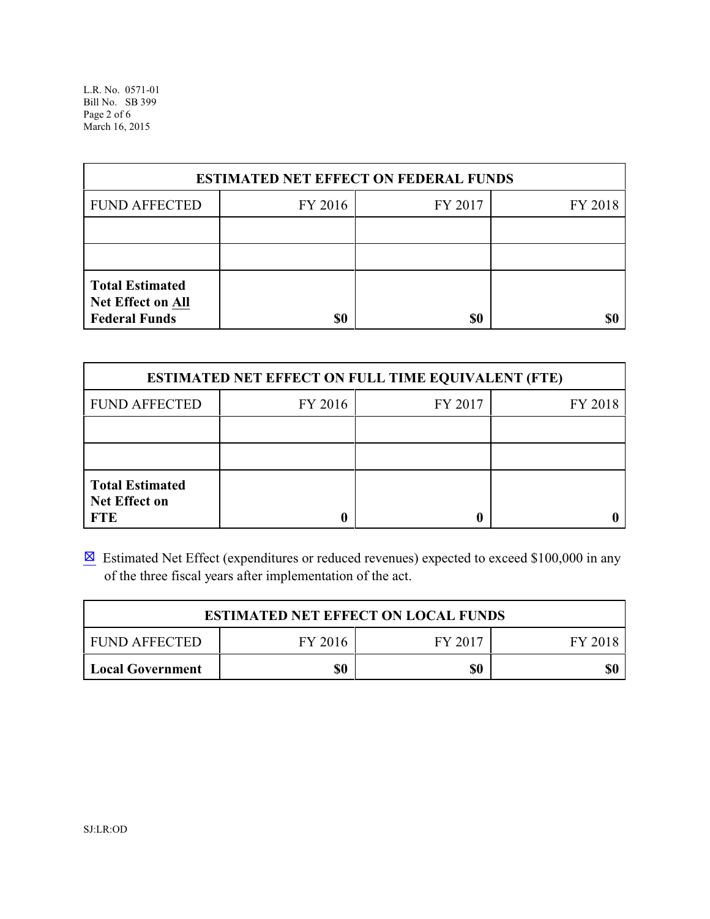L.R. No. 0571-01 Bill No. SB 399 Page 2 of 6 March 16, 2015

| <b>ESTIMATED NET EFFECT ON FEDERAL FUNDS</b>                        |         |         |         |  |
|---------------------------------------------------------------------|---------|---------|---------|--|
| <b>FUND AFFECTED</b>                                                | FY 2016 | FY 2017 | FY 2018 |  |
|                                                                     |         |         |         |  |
|                                                                     |         |         |         |  |
| <b>Total Estimated</b><br>Net Effect on All<br><b>Federal Funds</b> | \$0     | \$0     |         |  |

| <b>ESTIMATED NET EFFECT ON FULL TIME EQUIVALENT (FTE)</b>    |         |         |         |  |
|--------------------------------------------------------------|---------|---------|---------|--|
| <b>FUND AFFECTED</b>                                         | FY 2016 | FY 2017 | FY 2018 |  |
|                                                              |         |         |         |  |
|                                                              |         |         |         |  |
| <b>Total Estimated</b><br><b>Net Effect on</b><br><b>FTE</b> |         |         |         |  |

**Estimated Net Effect (expenditures or reduced revenues) expected to exceed \$100,000 in any** of the three fiscal years after implementation of the act.

| <b>ESTIMATED NET EFFECT ON LOCAL FUNDS</b> |         |         |         |  |
|--------------------------------------------|---------|---------|---------|--|
| <b>FUND AFFECTED</b>                       | FY 2016 | FY 2017 | FY 2018 |  |
| Local Government                           | \$0     | \$0     | \$0     |  |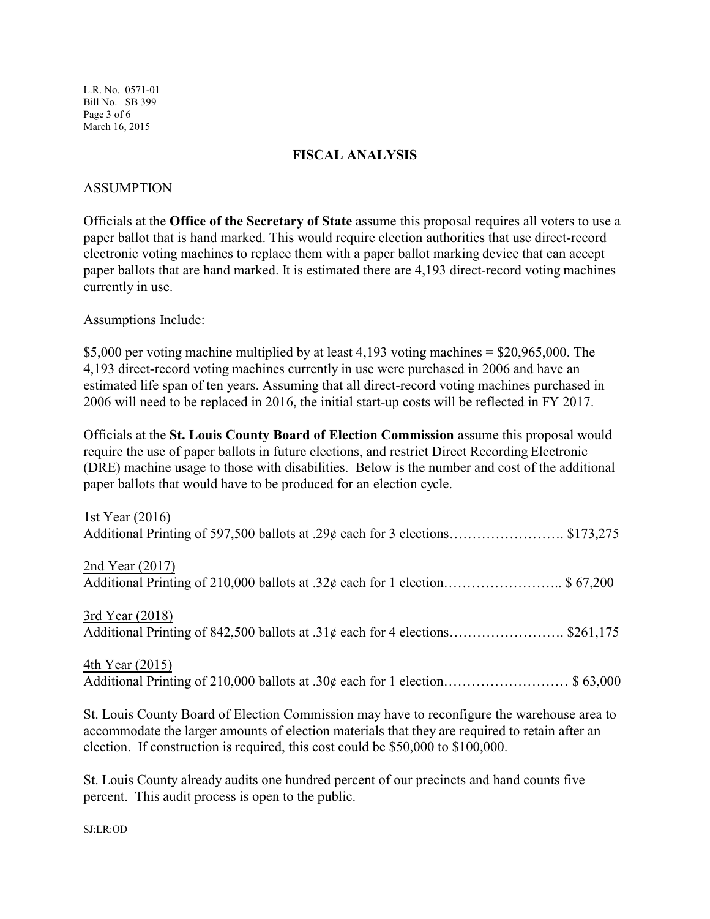L.R. No. 0571-01 Bill No. SB 399 Page 3 of 6 March 16, 2015

### **FISCAL ANALYSIS**

### ASSUMPTION

Officials at the **Office of the Secretary of State** assume this proposal requires all voters to use a paper ballot that is hand marked. This would require election authorities that use direct-record electronic voting machines to replace them with a paper ballot marking device that can accept paper ballots that are hand marked. It is estimated there are 4,193 direct-record voting machines currently in use.

Assumptions Include:

\$5,000 per voting machine multiplied by at least 4,193 voting machines = \$20,965,000. The 4,193 direct-record voting machines currently in use were purchased in 2006 and have an estimated life span of ten years. Assuming that all direct-record voting machines purchased in 2006 will need to be replaced in 2016, the initial start-up costs will be reflected in FY 2017.

Officials at the **St. Louis County Board of Election Commission** assume this proposal would require the use of paper ballots in future elections, and restrict Direct Recording Electronic (DRE) machine usage to those with disabilities. Below is the number and cost of the additional paper ballots that would have to be produced for an election cycle.

| 1st Year $(2016)$                                                                                                                                                                             |
|-----------------------------------------------------------------------------------------------------------------------------------------------------------------------------------------------|
| 2nd Year $(2017)$                                                                                                                                                                             |
| 3rd Year (2018)                                                                                                                                                                               |
| 4th Year (2015)                                                                                                                                                                               |
| St. Louis County Board of Election Commission may have to reconfigure the warehouse area to<br>accommodate the larger amounts of election materials that they are required to retain after an |

St. Louis County already audits one hundred percent of our precincts and hand counts five percent. This audit process is open to the public.

election. If construction is required, this cost could be \$50,000 to \$100,000.

SJ:LR:OD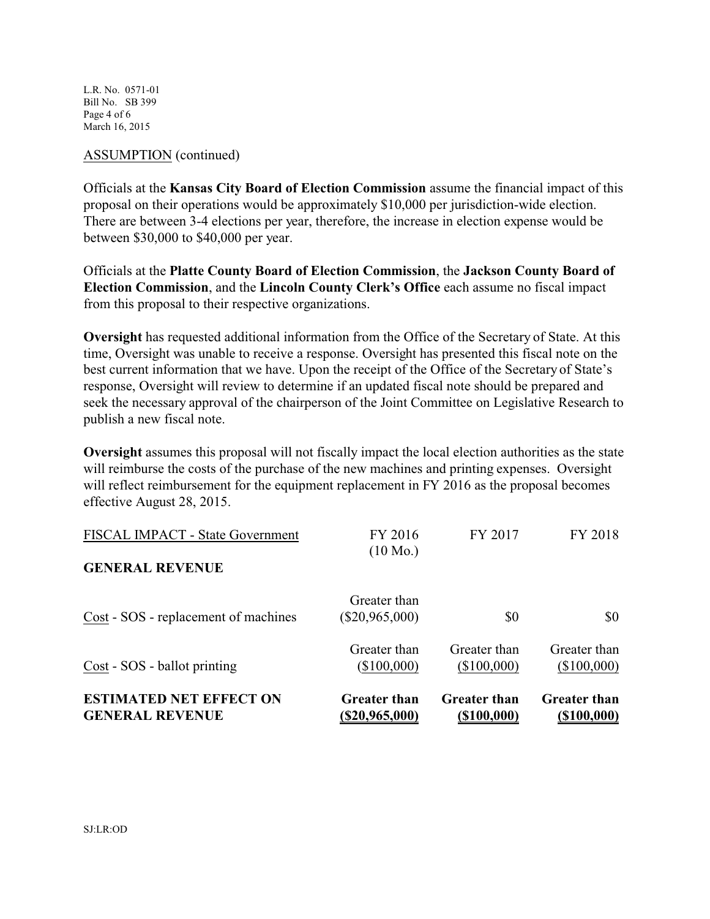L.R. No. 0571-01 Bill No. SB 399 Page 4 of 6 March 16, 2015

#### ASSUMPTION (continued)

Officials at the **Kansas City Board of Election Commission** assume the financial impact of this proposal on their operations would be approximately \$10,000 per jurisdiction-wide election. There are between 3-4 elections per year, therefore, the increase in election expense would be between \$30,000 to \$40,000 per year.

Officials at the **Platte County Board of Election Commission**, the **Jackson County Board of Election Commission**, and the **Lincoln County Clerk's Office** each assume no fiscal impact from this proposal to their respective organizations.

**Oversight** has requested additional information from the Office of the Secretary of State. At this time, Oversight was unable to receive a response. Oversight has presented this fiscal note on the best current information that we have. Upon the receipt of the Office of the Secretary of State's response, Oversight will review to determine if an updated fiscal note should be prepared and seek the necessary approval of the chairperson of the Joint Committee on Legislative Research to publish a new fiscal note.

**Oversight** assumes this proposal will not fiscally impact the local election authorities as the state will reimburse the costs of the purchase of the new machines and printing expenses.Oversight will reflect reimbursement for the equipment replacement in FY 2016 as the proposal becomes effective August 28, 2015.

| <b>ESTIMATED NET EFFECT ON</b><br><b>GENERAL REVENUE</b>   | <b>Greater than</b><br>$(\$20,965,000)$ | <b>Greater than</b><br>(\$100,000) | <b>Greater than</b><br>$($ \$100,000) |
|------------------------------------------------------------|-----------------------------------------|------------------------------------|---------------------------------------|
| Cost - SOS - ballot printing                               | Greater than<br>(\$100,000)             | Greater than<br>(\$100,000)        | Greater than<br>(\$100,000)           |
| Cost - SOS - replacement of machines                       | Greater than<br>$(\$20,965,000)$        | \$0                                | \$0                                   |
| FISCAL IMPACT - State Government<br><b>GENERAL REVENUE</b> | FY 2016<br>$(10 \text{ Mo.})$           | FY 2017                            | FY 2018                               |
|                                                            |                                         |                                    |                                       |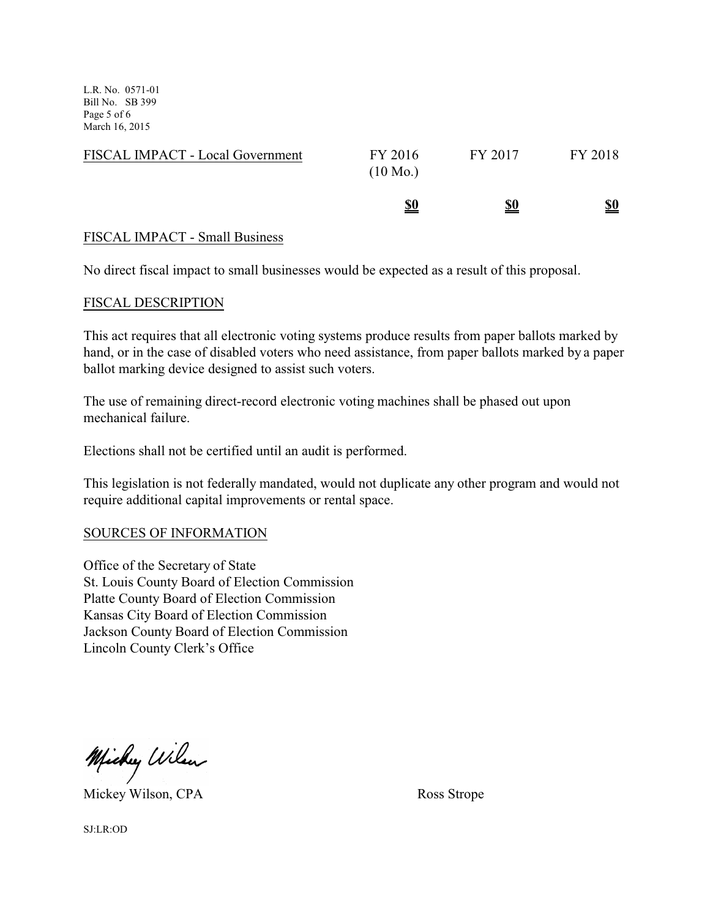L.R. No. 0571-01 Bill No. SB 399 Page 5 of 6 March 16, 2015

| FISCAL IMPACT - Local Government | FY 2016<br>$(10 \text{ Mo.})$ | FY 2017    | FY 2018    |
|----------------------------------|-------------------------------|------------|------------|
|                                  | <u>\$0</u>                    | <u>\$0</u> | <u>\$0</u> |

### FISCAL IMPACT - Small Business

No direct fiscal impact to small businesses would be expected as a result of this proposal.

### FISCAL DESCRIPTION

This act requires that all electronic voting systems produce results from paper ballots marked by hand, or in the case of disabled voters who need assistance, from paper ballots marked by a paper ballot marking device designed to assist such voters.

The use of remaining direct-record electronic voting machines shall be phased out upon mechanical failure.

Elections shall not be certified until an audit is performed.

This legislation is not federally mandated, would not duplicate any other program and would not require additional capital improvements or rental space.

### SOURCES OF INFORMATION

Office of the Secretary of State St. Louis County Board of Election Commission Platte County Board of Election Commission Kansas City Board of Election Commission Jackson County Board of Election Commission Lincoln County Clerk's Office

Michy Wilson

Mickey Wilson, CPA Ross Strope

SJ:LR:OD